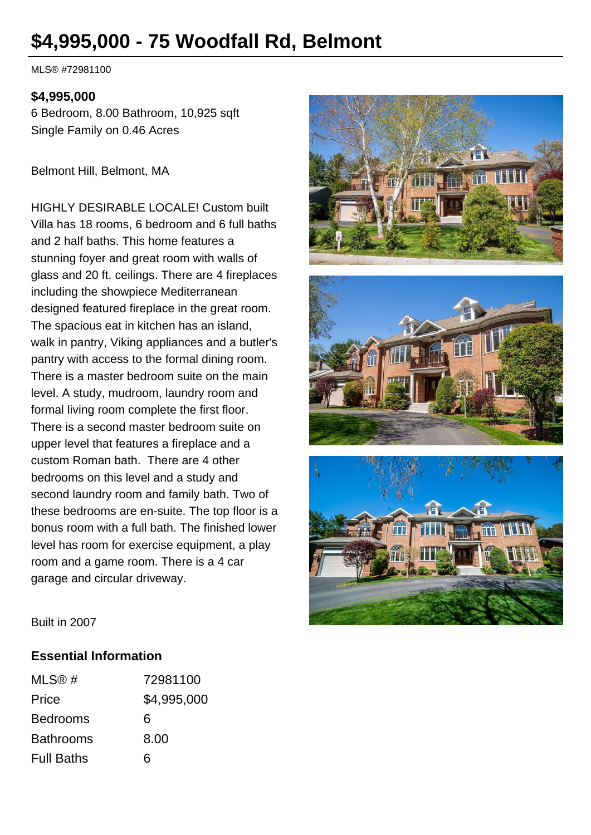# **\$4,995,000 - 75 Woodfall Rd, Belmont**

MLS® #72981100

#### **\$4,995,000**

6 Bedroom, 8.00 Bathroom, 10,925 sqft Single Family on 0.46 Acres

Belmont Hill, Belmont, MA

HIGHLY DESIRABLE LOCALE! Custom built Villa has 18 rooms, 6 bedroom and 6 full baths and 2 half baths. This home features a stunning foyer and great room with walls of glass and 20 ft. ceilings. There are 4 fireplaces including the showpiece Mediterranean designed featured fireplace in the great room. The spacious eat in kitchen has an island, walk in pantry, Viking appliances and a butler's pantry with access to the formal dining room. There is a master bedroom suite on the main level. A study, mudroom, laundry room and formal living room complete the first floor. There is a second master bedroom suite on upper level that features a fireplace and a custom Roman bath. There are 4 other bedrooms on this level and a study and second laundry room and family bath. Two of these bedrooms are en-suite. The top floor is a bonus room with a full bath. The finished lower level has room for exercise equipment, a play room and a game room. There is a 4 car garage and circular driveway.







Built in 2007

#### **Essential Information**

| MLS@#             | 72981100    |
|-------------------|-------------|
| Price             | \$4,995,000 |
| <b>Bedrooms</b>   | 6           |
| <b>Bathrooms</b>  | 8.00        |
| <b>Full Baths</b> | ิธ          |